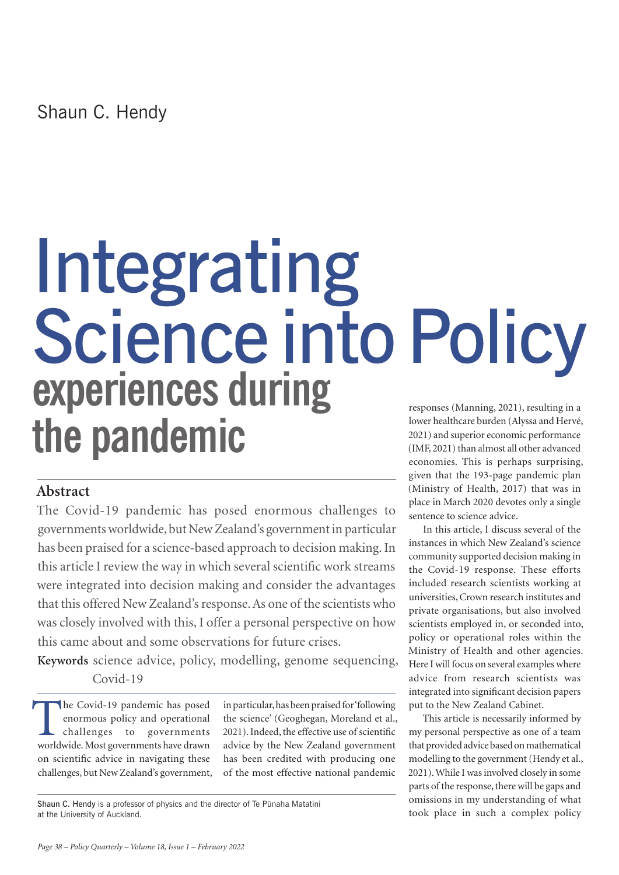# Integrating Science into Policy responses (Manning, 2021), resulting in a lower healthcare burden (Alyssa and Hervé, 2021) and superior economic performance (IMF, 2021) than almost all other advanced **experiences during the pandemic**

### **Abstract**

The Covid-19 pandemic has posed enormous challenges to governments worldwide, but New Zealand's government in particular has been praised for a science-based approach to decision making. In this article I review the way in which several scientific work streams were integrated into decision making and consider the advantages that this offered New Zealand's response. As one of the scientists who was closely involved with this, I offer a personal perspective on how this came about and some observations for future crises.

**Keywords** science advice, policy, modelling, genome sequencing, Covid-19

The Covid-19 pandemic has posed<br>enormous policy and operational<br>challenges to governments<br>worldwide Most governments have drawn enormous policy and operational challenges to governments worldwide. Most governments have drawn on scientific advice in navigating these challenges, but New Zealand's government,

in particular, has been praised for 'following the science' (Geoghegan, Moreland et al., 2021). Indeed, the effective use of scientific advice by the New Zealand government has been credited with producing one of the most effective national pandemic

Shaun C. Hendy is a professor of physics and the director of Te Pünaha Matatini at the University of Auckland.

economies. This is perhaps surprising, given that the 193-page pandemic plan (Ministry of Health, 2017) that was in place in March 2020 devotes only a single sentence to science advice.

In this article, I discuss several of the instances in which New Zealand's science community supported decision making in the Covid-19 response. These efforts included research scientists working at universities, Crown research institutes and private organisations, but also involved scientists employed in, or seconded into, policy or operational roles within the Ministry of Health and other agencies. Here I will focus on several examples where advice from research scientists was integrated into significant decision papers put to the New Zealand Cabinet.

This article is necessarily informed by my personal perspective as one of a team that provided advice based on mathematical modelling to the government (Hendy et al., 2021). While I was involved closely in some parts of the response, there will be gaps and omissions in my understanding of what took place in such a complex policy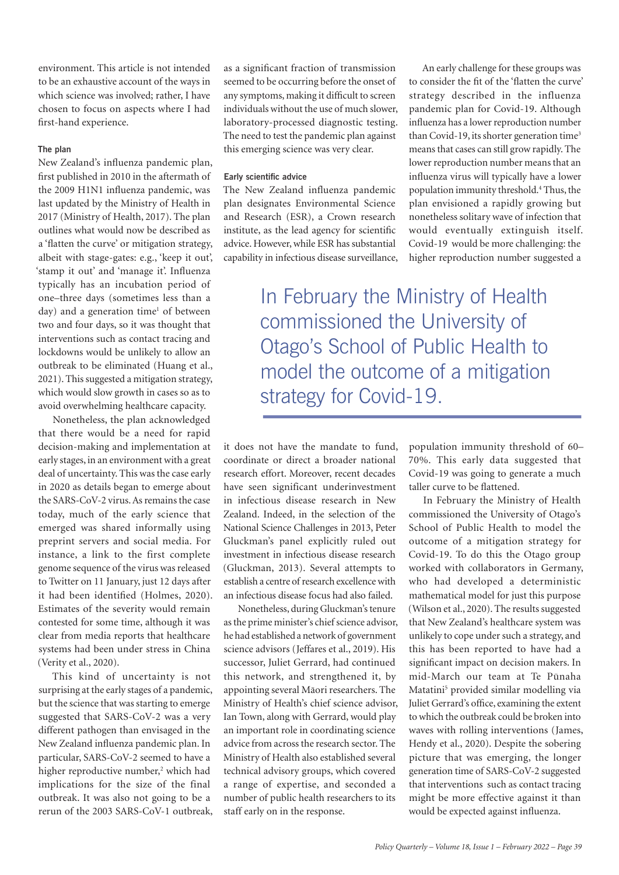environment. This article is not intended to be an exhaustive account of the ways in which science was involved; rather, I have chosen to focus on aspects where I had first-hand experience.

#### **The plan**

New Zealand's influenza pandemic plan, first published in 2010 in the aftermath of the 2009 H1N1 influenza pandemic, was last updated by the Ministry of Health in 2017 (Ministry of Health, 2017). The plan outlines what would now be described as a 'flatten the curve' or mitigation strategy, albeit with stage-gates: e.g., 'keep it out', 'stamp it out' and 'manage it'. Influenza typically has an incubation period of one–three days (sometimes less than a day) and a generation time<sup>1</sup> of between two and four days, so it was thought that interventions such as contact tracing and lockdowns would be unlikely to allow an outbreak to be eliminated (Huang et al., 2021). This suggested a mitigation strategy, which would slow growth in cases so as to avoid overwhelming healthcare capacity.

Nonetheless, the plan acknowledged that there would be a need for rapid decision-making and implementation at early stages, in an environment with a great deal of uncertainty. This was the case early in 2020 as details began to emerge about the SARS-CoV-2 virus. As remains the case today, much of the early science that emerged was shared informally using preprint servers and social media. For instance, a link to the first complete genome sequence of the virus was released to Twitter on 11 January, just 12 days after it had been identified (Holmes, 2020). Estimates of the severity would remain contested for some time, although it was clear from media reports that healthcare systems had been under stress in China (Verity et al., 2020).

This kind of uncertainty is not surprising at the early stages of a pandemic, but the science that was starting to emerge suggested that SARS-CoV-2 was a very different pathogen than envisaged in the New Zealand influenza pandemic plan. In particular, SARS-CoV-2 seemed to have a higher reproductive number,<sup>2</sup> which had implications for the size of the final outbreak. It was also not going to be a rerun of the 2003 SARS-CoV-1 outbreak,

as a significant fraction of transmission seemed to be occurring before the onset of any symptoms, making it difficult to screen individuals without the use of much slower, laboratory-processed diagnostic testing. The need to test the pandemic plan against this emerging science was very clear.

#### **Early scientific advice**

The New Zealand influenza pandemic plan designates Environmental Science and Research (ESR), a Crown research institute, as the lead agency for scientific advice. However, while ESR has substantial capability in infectious disease surveillance,

An early challenge for these groups was to consider the fit of the 'flatten the curve' strategy described in the influenza pandemic plan for Covid-19. Although influenza has a lower reproduction number than Covid-19, its shorter generation time<sup>3</sup> means that cases can still grow rapidly. The lower reproduction number means that an influenza virus will typically have a lower population immunity threshold.4 Thus, the plan envisioned a rapidly growing but nonetheless solitary wave of infection that would eventually extinguish itself. Covid-19 would be more challenging: the higher reproduction number suggested a

In February the Ministry of Health commissioned the University of Otago's School of Public Health to model the outcome of a mitigation strategy for Covid-19.

it does not have the mandate to fund, coordinate or direct a broader national research effort. Moreover, recent decades have seen significant underinvestment in infectious disease research in New Zealand. Indeed, in the selection of the National Science Challenges in 2013, Peter Gluckman's panel explicitly ruled out investment in infectious disease research (Gluckman, 2013). Several attempts to establish a centre of research excellence with an infectious disease focus had also failed.

Nonetheless, during Gluckman's tenure as the prime minister's chief science advisor, he had established a network of government science advisors (Jeffares et al., 2019). His successor, Juliet Gerrard, had continued this network, and strengthened it, by appointing several Mäori researchers. The Ministry of Health's chief science advisor, Ian Town, along with Gerrard, would play an important role in coordinating science advice from across the research sector. The Ministry of Health also established several technical advisory groups, which covered a range of expertise, and seconded a number of public health researchers to its staff early on in the response.

population immunity threshold of 60– 70%. This early data suggested that Covid-19 was going to generate a much taller curve to be flattened.

In February the Ministry of Health commissioned the University of Otago's School of Public Health to model the outcome of a mitigation strategy for Covid-19. To do this the Otago group worked with collaborators in Germany, who had developed a deterministic mathematical model for just this purpose (Wilson et al., 2020). The results suggested that New Zealand's healthcare system was unlikely to cope under such a strategy, and this has been reported to have had a significant impact on decision makers. In mid-March our team at Te Pünaha Matatini<sup>5</sup> provided similar modelling via Juliet Gerrard's office, examining the extent to which the outbreak could be broken into waves with rolling interventions (James, Hendy et al., 2020). Despite the sobering picture that was emerging, the longer generation time of SARS-CoV-2 suggested that interventions such as contact tracing might be more effective against it than would be expected against influenza.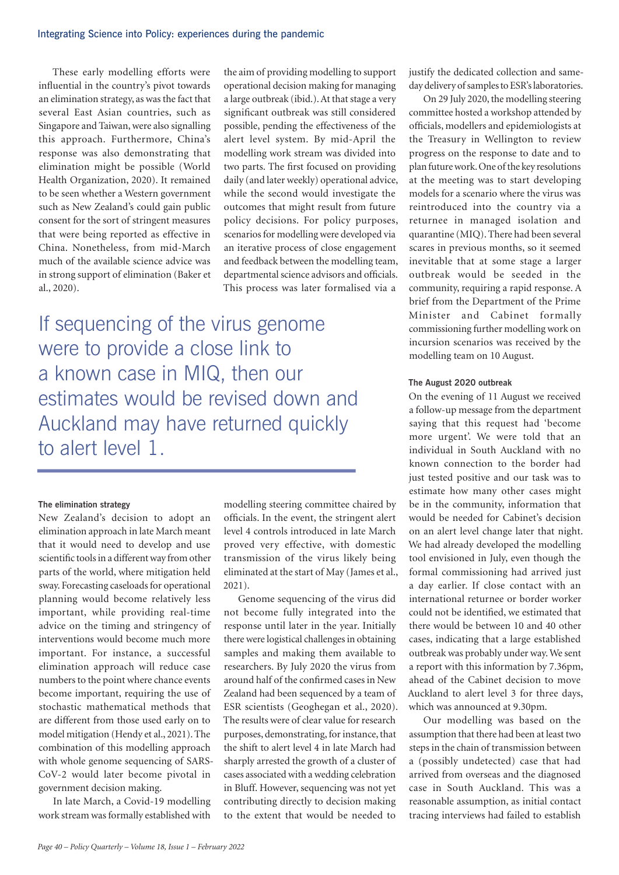#### Integrating Science into Policy: experiences during the pandemic

These early modelling efforts were influential in the country's pivot towards an elimination strategy, as was the fact that several East Asian countries, such as Singapore and Taiwan, were also signalling this approach. Furthermore, China's response was also demonstrating that elimination might be possible (World Health Organization, 2020). It remained to be seen whether a Western government such as New Zealand's could gain public consent for the sort of stringent measures that were being reported as effective in China. Nonetheless, from mid-March much of the available science advice was in strong support of elimination (Baker et al., 2020).

the aim of providing modelling to support operational decision making for managing a large outbreak (ibid.). At that stage a very significant outbreak was still considered possible, pending the effectiveness of the alert level system. By mid-April the modelling work stream was divided into two parts. The first focused on providing daily (and later weekly) operational advice, while the second would investigate the outcomes that might result from future policy decisions. For policy purposes, scenarios for modelling were developed via an iterative process of close engagement and feedback between the modelling team, departmental science advisors and officials. This process was later formalised via a

If sequencing of the virus genome were to provide a close link to a known case in MIQ, then our estimates would be revised down and Auckland may have returned quickly to alert level 1.

#### **The elimination strategy**

New Zealand's decision to adopt an elimination approach in late March meant that it would need to develop and use scientific tools in a different way from other parts of the world, where mitigation held sway. Forecasting caseloads for operational planning would become relatively less important, while providing real-time advice on the timing and stringency of interventions would become much more important. For instance, a successful elimination approach will reduce case numbers to the point where chance events become important, requiring the use of stochastic mathematical methods that are different from those used early on to model mitigation (Hendy et al., 2021). The combination of this modelling approach with whole genome sequencing of SARS-CoV-2 would later become pivotal in government decision making.

In late March, a Covid-19 modelling work stream was formally established with

modelling steering committee chaired by officials. In the event, the stringent alert level 4 controls introduced in late March proved very effective, with domestic transmission of the virus likely being eliminated at the start of May (James et al., 2021).

Genome sequencing of the virus did not become fully integrated into the response until later in the year. Initially there were logistical challenges in obtaining samples and making them available to researchers. By July 2020 the virus from around half of the confirmed cases in New Zealand had been sequenced by a team of ESR scientists (Geoghegan et al., 2020). The results were of clear value for research purposes, demonstrating, for instance, that the shift to alert level 4 in late March had sharply arrested the growth of a cluster of cases associated with a wedding celebration in Bluff. However, sequencing was not yet contributing directly to decision making to the extent that would be needed to

justify the dedicated collection and sameday delivery of samples to ESR's laboratories.

On 29 July 2020, the modelling steering committee hosted a workshop attended by officials, modellers and epidemiologists at the Treasury in Wellington to review progress on the response to date and to plan future work. One of the key resolutions at the meeting was to start developing models for a scenario where the virus was reintroduced into the country via a returnee in managed isolation and quarantine (MIQ). There had been several scares in previous months, so it seemed inevitable that at some stage a larger outbreak would be seeded in the community, requiring a rapid response. A brief from the Department of the Prime Minister and Cabinet formally commissioning further modelling work on incursion scenarios was received by the modelling team on 10 August.

#### **The August 2020 outbreak**

On the evening of 11 August we received a follow-up message from the department saying that this request had 'become more urgent'. We were told that an individual in South Auckland with no known connection to the border had just tested positive and our task was to estimate how many other cases might be in the community, information that would be needed for Cabinet's decision on an alert level change later that night. We had already developed the modelling tool envisioned in July, even though the formal commissioning had arrived just a day earlier. If close contact with an international returnee or border worker could not be identified, we estimated that there would be between 10 and 40 other cases, indicating that a large established outbreak was probably under way. We sent a report with this information by 7.36pm, ahead of the Cabinet decision to move Auckland to alert level 3 for three days, which was announced at 9.30pm.

Our modelling was based on the assumption that there had been at least two steps in the chain of transmission between a (possibly undetected) case that had arrived from overseas and the diagnosed case in South Auckland. This was a reasonable assumption, as initial contact tracing interviews had failed to establish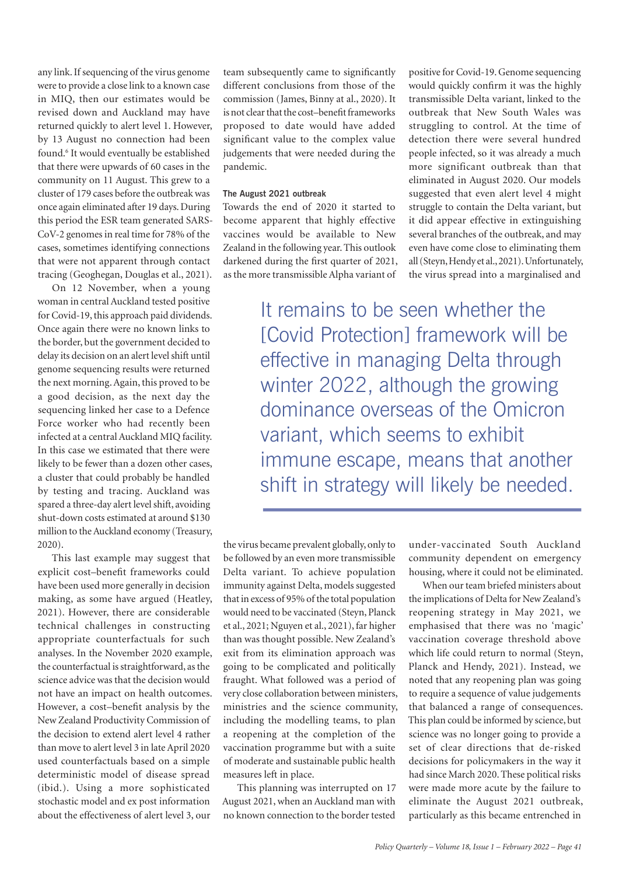any link. If sequencing of the virus genome were to provide a close link to a known case in MIQ, then our estimates would be revised down and Auckland may have returned quickly to alert level 1. However, by 13 August no connection had been found.<sup>6</sup> It would eventually be established that there were upwards of 60 cases in the community on 11 August. This grew to a cluster of 179 cases before the outbreak was once again eliminated after 19 days. During this period the ESR team generated SARS-CoV-2 genomes in real time for 78% of the cases, sometimes identifying connections that were not apparent through contact tracing (Geoghegan, Douglas et al., 2021).

On 12 November, when a young woman in central Auckland tested positive for Covid-19, this approach paid dividends. Once again there were no known links to the border, but the government decided to delay its decision on an alert level shift until genome sequencing results were returned the next morning. Again, this proved to be a good decision, as the next day the sequencing linked her case to a Defence Force worker who had recently been infected at a central Auckland MIQ facility. In this case we estimated that there were likely to be fewer than a dozen other cases, a cluster that could probably be handled by testing and tracing. Auckland was spared a three-day alert level shift, avoiding shut-down costs estimated at around \$130 million to the Auckland economy (Treasury, 2020).

This last example may suggest that explicit cost–benefit frameworks could have been used more generally in decision making, as some have argued (Heatley, 2021). However, there are considerable technical challenges in constructing appropriate counterfactuals for such analyses. In the November 2020 example, the counterfactual is straightforward, as the science advice was that the decision would not have an impact on health outcomes. However, a cost–benefit analysis by the New Zealand Productivity Commission of the decision to extend alert level 4 rather than move to alert level 3 in late April 2020 used counterfactuals based on a simple deterministic model of disease spread (ibid.). Using a more sophisticated stochastic model and ex post information about the effectiveness of alert level 3, our

team subsequently came to significantly different conclusions from those of the commission (James, Binny at al., 2020). It is not clear that the cost–benefit frameworks proposed to date would have added significant value to the complex value judgements that were needed during the pandemic.

#### **The August 2021 outbreak**

Towards the end of 2020 it started to become apparent that highly effective vaccines would be available to New Zealand in the following year. This outlook darkened during the first quarter of 2021, as the more transmissible Alpha variant of

positive for Covid-19. Genome sequencing would quickly confirm it was the highly transmissible Delta variant, linked to the outbreak that New South Wales was struggling to control. At the time of detection there were several hundred people infected, so it was already a much more significant outbreak than that eliminated in August 2020. Our models suggested that even alert level 4 might struggle to contain the Delta variant, but it did appear effective in extinguishing several branches of the outbreak, and may even have come close to eliminating them all (Steyn, Hendy et al., 2021). Unfortunately, the virus spread into a marginalised and

It remains to be seen whether the [Covid Protection] framework will be effective in managing Delta through winter 2022, although the growing dominance overseas of the Omicron variant, which seems to exhibit immune escape, means that another shift in strategy will likely be needed.

the virus became prevalent globally, only to be followed by an even more transmissible Delta variant. To achieve population immunity against Delta, models suggested that in excess of 95% of the total population would need to be vaccinated (Steyn, Planck et al., 2021; Nguyen et al., 2021), far higher than was thought possible. New Zealand's exit from its elimination approach was going to be complicated and politically fraught. What followed was a period of very close collaboration between ministers, ministries and the science community, including the modelling teams, to plan a reopening at the completion of the vaccination programme but with a suite of moderate and sustainable public health measures left in place.

This planning was interrupted on 17 August 2021, when an Auckland man with no known connection to the border tested

under-vaccinated South Auckland community dependent on emergency housing, where it could not be eliminated.

When our team briefed ministers about the implications of Delta for New Zealand's reopening strategy in May 2021, we emphasised that there was no 'magic' vaccination coverage threshold above which life could return to normal (Steyn, Planck and Hendy, 2021). Instead, we noted that any reopening plan was going to require a sequence of value judgements that balanced a range of consequences. This plan could be informed by science, but science was no longer going to provide a set of clear directions that de-risked decisions for policymakers in the way it had since March 2020. These political risks were made more acute by the failure to eliminate the August 2021 outbreak, particularly as this became entrenched in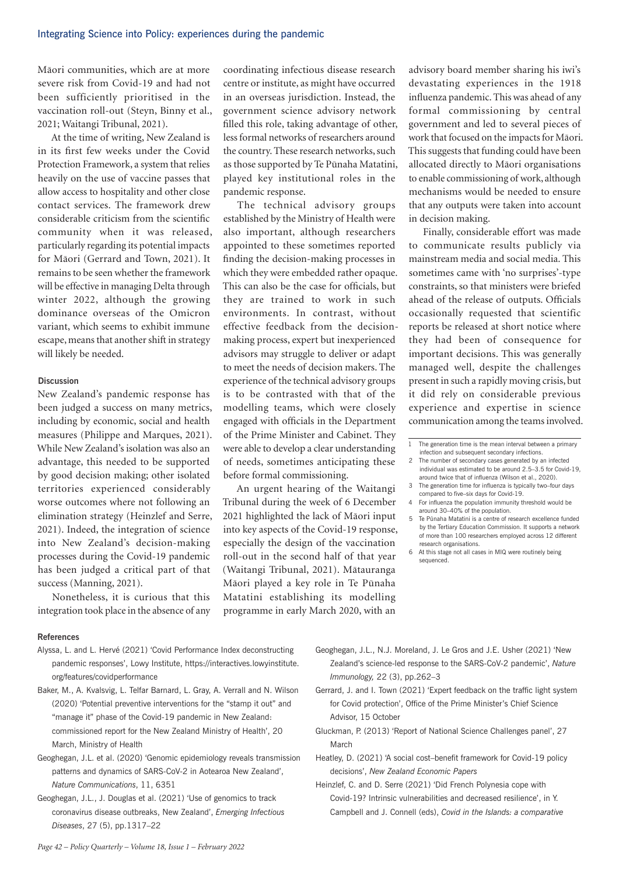Mäori communities, which are at more severe risk from Covid-19 and had not been sufficiently prioritised in the vaccination roll-out (Steyn, Binny et al., 2021; Waitangi Tribunal, 2021).

At the time of writing, New Zealand is in its first few weeks under the Covid Protection Framework, a system that relies heavily on the use of vaccine passes that allow access to hospitality and other close contact services. The framework drew considerable criticism from the scientific community when it was released, particularly regarding its potential impacts for Mäori (Gerrard and Town, 2021). It remains to be seen whether the framework will be effective in managing Delta through winter 2022, although the growing dominance overseas of the Omicron variant, which seems to exhibit immune escape, means that another shift in strategy will likely be needed.

#### **Discussion**

New Zealand's pandemic response has been judged a success on many metrics, including by economic, social and health measures (Philippe and Marques, 2021). While New Zealand's isolation was also an advantage, this needed to be supported by good decision making; other isolated territories experienced considerably worse outcomes where not following an elimination strategy (Heinzlef and Serre, 2021). Indeed, the integration of science into New Zealand's decision-making processes during the Covid-19 pandemic has been judged a critical part of that success (Manning, 2021).

Nonetheless, it is curious that this integration took place in the absence of any

#### **References**

- Alyssa, L. and L. Hervé (2021) 'Covid Performance Index deconstructing pandemic responses', Lowy Institute, https://interactives.lowyinstitute. org/features/covidperformance
- Baker, M., A. Kvalsvig, L. Telfar Barnard, L. Gray, A. Verrall and N. Wilson (2020) 'Potential preventive interventions for the "stamp it out" and "manage it" phase of the Covid-19 pandemic in New Zealand: commissioned report for the New Zealand Ministry of Health', 20 March, Ministry of Health
- Geoghegan, J.L. et al. (2020) 'Genomic epidemiology reveals transmission patterns and dynamics of SARS-CoV-2 in Aotearoa New Zealand', *Nature Communications*, 11, 6351
- Geoghegan, J.L., J. Douglas et al. (2021) 'Use of genomics to track coronavirus disease outbreaks, New Zealand', *Emerging Infectious Diseases*, 27 (5), pp.1317–22

coordinating infectious disease research centre or institute, as might have occurred in an overseas jurisdiction. Instead, the government science advisory network filled this role, taking advantage of other, less formal networks of researchers around the country. These research networks, such as those supported by Te Pünaha Matatini, played key institutional roles in the pandemic response.

The technical advisory groups established by the Ministry of Health were also important, although researchers appointed to these sometimes reported finding the decision-making processes in which they were embedded rather opaque. This can also be the case for officials, but they are trained to work in such environments. In contrast, without effective feedback from the decisionmaking process, expert but inexperienced advisors may struggle to deliver or adapt to meet the needs of decision makers. The experience of the technical advisory groups is to be contrasted with that of the modelling teams, which were closely engaged with officials in the Department of the Prime Minister and Cabinet. They were able to develop a clear understanding of needs, sometimes anticipating these before formal commissioning.

An urgent hearing of the Waitangi Tribunal during the week of 6 December 2021 highlighted the lack of Mäori input into key aspects of the Covid-19 response, especially the design of the vaccination roll-out in the second half of that year (Waitangi Tribunal, 2021). Mätauranga Mäori played a key role in Te Pünaha Matatini establishing its modelling programme in early March 2020, with an

advisory board member sharing his iwi's devastating experiences in the 1918 influenza pandemic. This was ahead of any formal commissioning by central government and led to several pieces of work that focused on the impacts for Mäori. This suggests that funding could have been allocated directly to Mäori organisations to enable commissioning of work, although mechanisms would be needed to ensure that any outputs were taken into account in decision making.

Finally, considerable effort was made to communicate results publicly via mainstream media and social media. This sometimes came with 'no surprises'-type constraints, so that ministers were briefed ahead of the release of outputs. Officials occasionally requested that scientific reports be released at short notice where they had been of consequence for important decisions. This was generally managed well, despite the challenges present in such a rapidly moving crisis, but it did rely on considerable previous experience and expertise in science communication among the teams involved.

- 2 The number of secondary cases generated by an infected individual was estimated to be around 2.5–3.5 for Covid-19, around twice that of influenza (Wilson et al., 2020).
- 3 The generation time for influenza is typically two–four days compared to five–six days for Covid-19.
- 4 For influenza the population immunity threshold would be around 30–40% of the population.
- 5 Te Pünaha Matatini is a centre of research excellence funded by the Tertiary Education Commission. It supports a network of more than 100 researchers employed across 12 different research organisations.
- 6 At this stage not all cases in MIQ were routinely being sequenced.
- Geoghegan, J.L., N.J. Moreland, J. Le Gros and J.E. Usher (2021) 'New Zealand's science-led response to the SARS-CoV-2 pandemic', *Nature Immunology,* 22 (3), pp.262–3
- Gerrard, J. and I. Town (2021) 'Expert feedback on the traffic light system for Covid protection', Office of the Prime Minister's Chief Science Advisor, 15 October
- Gluckman, P. (2013) 'Report of National Science Challenges panel', 27 March
- Heatley, D. (2021) 'A social cost–benefit framework for Covid-19 policy decisions', *New Zealand Economic Papers*
- Heinzlef, C. and D. Serre (2021) 'Did French Polynesia cope with Covid-19? Intrinsic vulnerabilities and decreased resilience', in Y. Campbell and J. Connell (eds), *Covid in the Islands: a comparative*

The generation time is the mean interval between a primary infection and subsequent secondary infections.